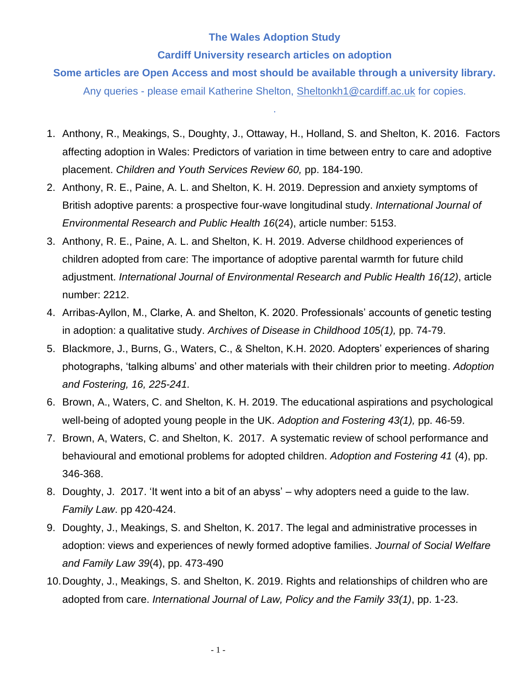## **The Wales Adoption Study**

## **Cardiff University research articles on adoption**

**Some articles are Open Access and most should be available through a university library.** 

Any queries - please email Katherine Shelton, [Sheltonkh1@cardiff.ac.uk](mailto:Sheltonkh1@cardiff.ac.uk) for copies.

.

- 1. Anthony, R., Meakings, S., Doughty, J., Ottaway, H., Holland, S. and Shelton, K. 2016. Factors affecting adoption in Wales: Predictors of variation in time between entry to care and adoptive placement. *Children and Youth Services Review 60,* pp. 184-190.
- 2. Anthony, R. E., Paine, A. L. and Shelton, K. H. 2019. Depression and anxiety symptoms of British adoptive parents: a prospective four-wave longitudinal study. *International Journal of Environmental Research and Public Health 16*(24), article number: 5153.
- 3. Anthony, R. E., Paine, A. L. and Shelton, K. H. 2019. Adverse childhood experiences of children adopted from care: The importance of adoptive parental warmth for future child adjustment. *International Journal of Environmental Research and Public Health 16(12)*, article number: 2212.
- 4. Arribas-Ayllon, M., Clarke, A. and Shelton, K. 2020. Professionals' accounts of genetic testing in adoption: a qualitative study. *Archives of Disease in Childhood 105(1),* pp. 74-79.
- 5. Blackmore, J., Burns, G., Waters, C., & Shelton, K.H. 2020. [Adopters' experiences of sharing](http://orca.cf.ac.uk/132282)  [photographs, 'talking albums' and other materials with their children prior to meeting.](http://orca.cf.ac.uk/132282) *Adoption and Fostering, 16, 225-241.*
- 6. Brown, A., Waters, C. and Shelton, K. H. 2019. The educational aspirations and psychological well-being of adopted young people in the UK. *Adoption and Fostering 43(1),* pp. 46-59.
- 7. Brown, A, Waters, C. and Shelton, K. 2017. A systematic review of school performance and behavioural and emotional problems for adopted children. *Adoption and Fostering 41* (4), pp. 346-368.
- 8. Doughty, J. 2017. 'It went into a bit of an abyss' why adopters need a guide to the law. *Family Law*. pp 420-424.
- 9. Doughty, J., Meakings, S. and Shelton, K. 2017. The legal and administrative processes in adoption: views and experiences of newly formed adoptive families. *Journal of Social Welfare and Family Law 39*(4), pp. 473-490
- 10.Doughty, J., Meakings, S. and Shelton, K. 2019. Rights and relationships of children who are adopted from care. *International Journal of Law, Policy and the Family 33(1)*, pp. 1-23.